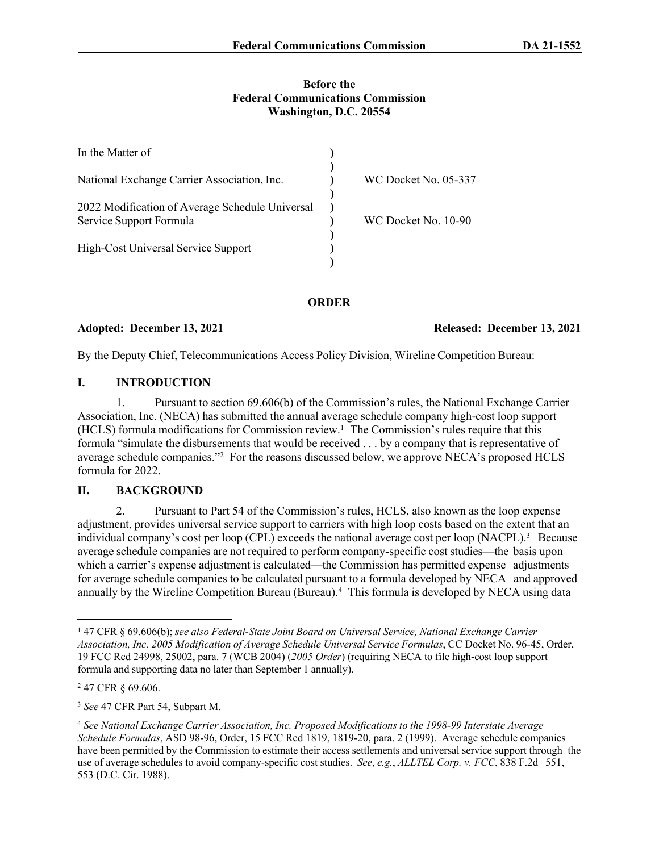### **Before the Federal Communications Commission Washington, D.C. 20554**

| In the Matter of                                                           |                      |
|----------------------------------------------------------------------------|----------------------|
| National Exchange Carrier Association, Inc.                                | WC Docket No. 05-337 |
| 2022 Modification of Average Schedule Universal<br>Service Support Formula | WC Docket No. 10-90  |
| High-Cost Universal Service Support                                        |                      |

**ORDER**

Adopted: December 13, 2021 **Released: December 13, 2021** 

By the Deputy Chief, Telecommunications Access Policy Division, Wireline Competition Bureau:

## **I. INTRODUCTION**

1. Pursuant to section 69.606(b) of the Commission's rules, the National Exchange Carrier Association, Inc. (NECA) has submitted the annual average schedule company high-cost loop support (HCLS) formula modifications for Commission review.<sup>1</sup> The Commission's rules require that this formula "simulate the disbursements that would be received . . . by a company that is representative of average schedule companies."<sup>2</sup> For the reasons discussed below, we approve NECA's proposed HCLS formula for 2022.

# **II. BACKGROUND**

2. Pursuant to Part 54 of the Commission's rules, HCLS, also known as the loop expense adjustment, provides universal service support to carriers with high loop costs based on the extent that an individual company's cost per loop (CPL) exceeds the national average cost per loop (NACPL).<sup>3</sup> Because average schedule companies are not required to perform company-specific cost studies—the basis upon which a carrier's expense adjustment is calculated—the Commission has permitted expense adjustments for average schedule companies to be calculated pursuant to a formula developed by NECA and approved annually by the Wireline Competition Bureau (Bureau).<sup>4</sup> This formula is developed by NECA using data

<sup>&</sup>lt;sup>1</sup> 47 CFR § 69.606(b); see also Federal-State Joint Board on Universal Service, National Exchange Carrier *Association, Inc. 2005 Modification of Average Schedule Universal Service Formulas*, CC Docket No. 96-45, Order, 19 FCC Rcd 24998, 25002, para. 7 (WCB 2004) (*2005 Order*) (requiring NECA to file high-cost loop support formula and supporting data no later than September 1 annually).

<sup>&</sup>lt;sup>2</sup> 47 CFR § 69.606.

<sup>3</sup> *See* 47 CFR Part 54, Subpart M.

<sup>4</sup> *See National Exchange Carrier Association, Inc. Proposed Modifications to the 1998-99 Interstate Average Schedule Formulas*, ASD 98-96, Order, 15 FCC Rcd 1819, 1819-20, para. 2 (1999). Average schedule companies have been permitted by the Commission to estimate their access settlements and universal service support through the use of average schedules to avoid company-specific cost studies. *See*, *e.g.*, *ALLTEL Corp. v. FCC*, 838 F.2d 551, 553 (D.C. Cir. 1988).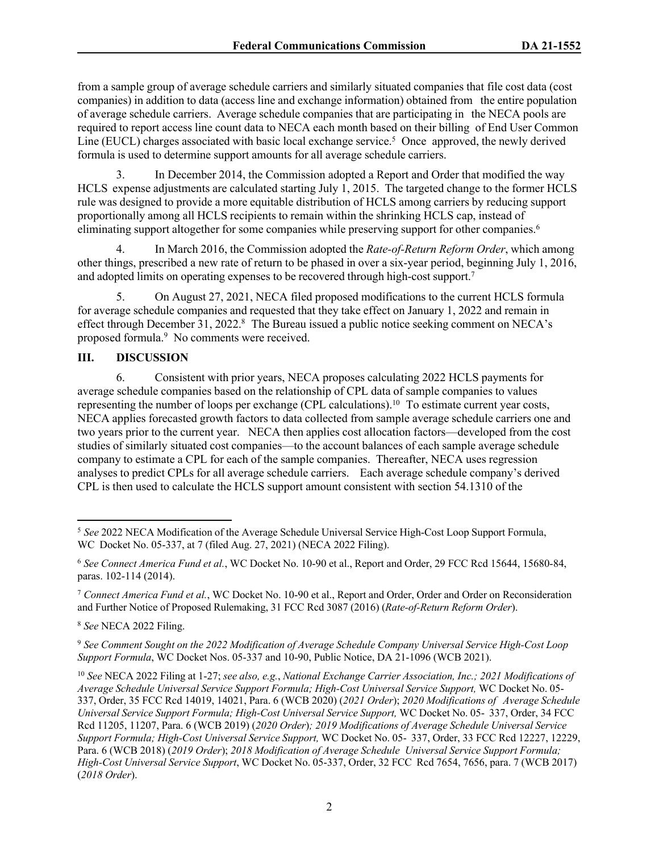from a sample group of average schedule carriers and similarly situated companies that file cost data (cost companies) in addition to data (access line and exchange information) obtained from the entire population of average schedule carriers. Average schedule companies that are participating in the NECA pools are required to report access line count data to NECA each month based on their billing of End User Common Line (EUCL) charges associated with basic local exchange service.<sup>5</sup> Once approved, the newly derived formula is used to determine support amounts for all average schedule carriers.

3. In December 2014, the Commission adopted a Report and Order that modified the way HCLS expense adjustments are calculated starting July 1, 2015. The targeted change to the former HCLS rule was designed to provide a more equitable distribution of HCLS among carriers by reducing support proportionally among all HCLS recipients to remain within the shrinking HCLS cap, instead of eliminating support altogether for some companies while preserving support for other companies.<sup>6</sup>

4. In March 2016, the Commission adopted the *Rate-of-Return Reform Order*, which among other things, prescribed a new rate of return to be phased in over a six-year period, beginning July 1, 2016, and adopted limits on operating expenses to be recovered through high-cost support.<sup>7</sup>

5. On August 27, 2021, NECA filed proposed modifications to the current HCLS formula for average schedule companies and requested that they take effect on January 1, 2022 and remain in effect through December 31, 2022.<sup>8</sup> The Bureau issued a public notice seeking comment on NECA's proposed formula.<sup>9</sup> No comments were received.

# **III. DISCUSSION**

6. Consistent with prior years, NECA proposes calculating 2022 HCLS payments for average schedule companies based on the relationship of CPL data of sample companies to values representing the number of loops per exchange (CPL calculations).<sup>10</sup> To estimate current year costs, NECA applies forecasted growth factors to data collected from sample average schedule carriers one and two years prior to the current year. NECA then applies cost allocation factors—developed from the cost studies of similarly situated cost companies—to the account balances of each sample average schedule company to estimate a CPL for each of the sample companies. Thereafter, NECA uses regression analyses to predict CPLs for all average schedule carriers. Each average schedule company's derived CPL is then used to calculate the HCLS support amount consistent with section 54.1310 of the

<sup>7</sup> *Connect America Fund et al.*, WC Docket No. 10-90 et al., Report and Order, Order and Order on Reconsideration and Further Notice of Proposed Rulemaking, 31 FCC Rcd 3087 (2016) (*Rate-of-Return Reform Order*).

<sup>8</sup> *See* NECA 2022 Filing.

<sup>9</sup> *See Comment Sought on the 2022 Modification of Average Schedule Company Universal Service High-Cost Loop Support Formula*, WC Docket Nos. 05-337 and 10-90, Public Notice, DA 21-1096 (WCB 2021).

<sup>5</sup> *See* 2022 NECA Modification of the Average Schedule Universal Service High-Cost Loop Support Formula, WC Docket No. 05-337, at 7 (filed Aug. 27, 2021) (NECA 2022 Filing).

<sup>6</sup> *See Connect America Fund et al.*, WC Docket No. 10-90 et al., Report and Order, 29 FCC Rcd 15644, 15680-84, paras. 102-114 (2014).

<sup>10</sup> *See* NECA 2022 Filing at 1-27; *see also, e.g.*, *National Exchange Carrier Association, Inc.; 2021 Modifications of Average Schedule Universal Service Support Formula; High-Cost Universal Service Support,* WC Docket No. 05- 337, Order, 35 FCC Rcd 14019, 14021, Para. 6 (WCB 2020) (*2021 Order*); *2020 Modifications of Average Schedule Universal Service Support Formula; High-Cost Universal Service Support,* WC Docket No. 05- 337, Order, 34 FCC Rcd 11205, 11207, Para. 6 (WCB 2019) (*2020 Order*)*; 2019 Modifications of Average Schedule Universal Service Support Formula; High-Cost Universal Service Support,* WC Docket No. 05- 337, Order, 33 FCC Rcd 12227, 12229, Para. 6 (WCB 2018) (*2019 Order*); *2018 Modification of Average Schedule Universal Service Support Formula; High-Cost Universal Service Support*, WC Docket No. 05-337, Order, 32 FCC Rcd 7654, 7656, para. 7 (WCB 2017) (*2018 Order*).